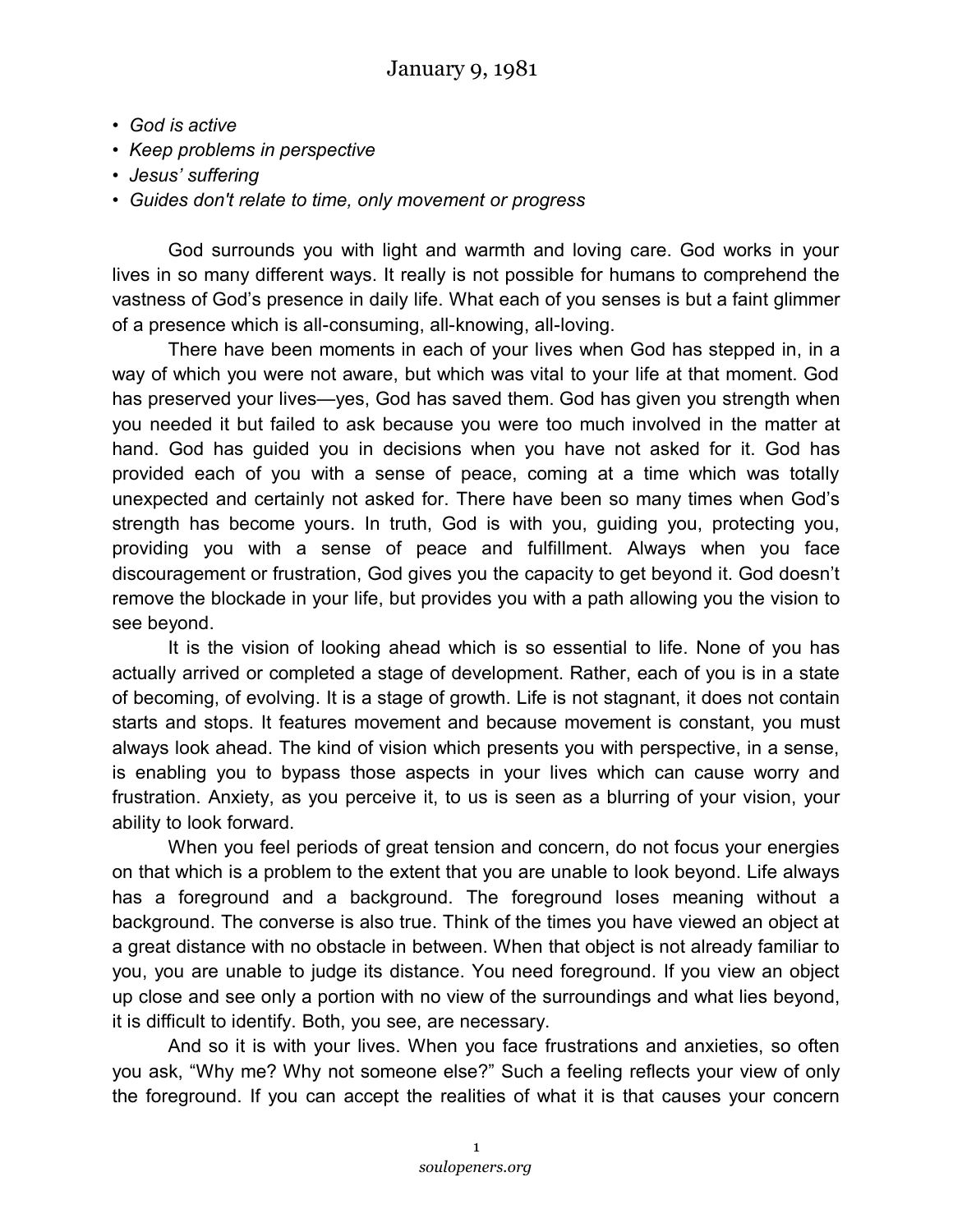- *God is active*
- *Keep problems in perspective*
- *Jesus' suffering*
- *Guides don't relate to time, only movement or progress*

God surrounds you with light and warmth and loving care. God works in your lives in so many different ways. It really is not possible for humans to comprehend the vastness of God's presence in daily life. What each of you senses is but a faint glimmer of a presence which is all-consuming, all-knowing, all-loving.

There have been moments in each of your lives when God has stepped in, in a way of which you were not aware, but which was vital to your life at that moment. God has preserved your lives—yes, God has saved them. God has given you strength when you needed it but failed to ask because you were too much involved in the matter at hand. God has guided you in decisions when you have not asked for it. God has provided each of you with a sense of peace, coming at a time which was totally unexpected and certainly not asked for. There have been so many times when God's strength has become yours. In truth, God is with you, guiding you, protecting you, providing you with a sense of peace and fulfillment. Always when you face discouragement or frustration, God gives you the capacity to get beyond it. God doesn't remove the blockade in your life, but provides you with a path allowing you the vision to see beyond.

It is the vision of looking ahead which is so essential to life. None of you has actually arrived or completed a stage of development. Rather, each of you is in a state of becoming, of evolving. It is a stage of growth. Life is not stagnant, it does not contain starts and stops. It features movement and because movement is constant, you must always look ahead. The kind of vision which presents you with perspective, in a sense, is enabling you to bypass those aspects in your lives which can cause worry and frustration. Anxiety, as you perceive it, to us is seen as a blurring of your vision, your ability to look forward.

When you feel periods of great tension and concern, do not focus your energies on that which is a problem to the extent that you are unable to look beyond. Life always has a foreground and a background. The foreground loses meaning without a background. The converse is also true. Think of the times you have viewed an object at a great distance with no obstacle in between. When that object is not already familiar to you, you are unable to judge its distance. You need foreground. If you view an object up close and see only a portion with no view of the surroundings and what lies beyond, it is difficult to identify. Both, you see, are necessary.

And so it is with your lives. When you face frustrations and anxieties, so often you ask, "Why me? Why not someone else?" Such a feeling reflects your view of only the foreground. If you can accept the realities of what it is that causes your concern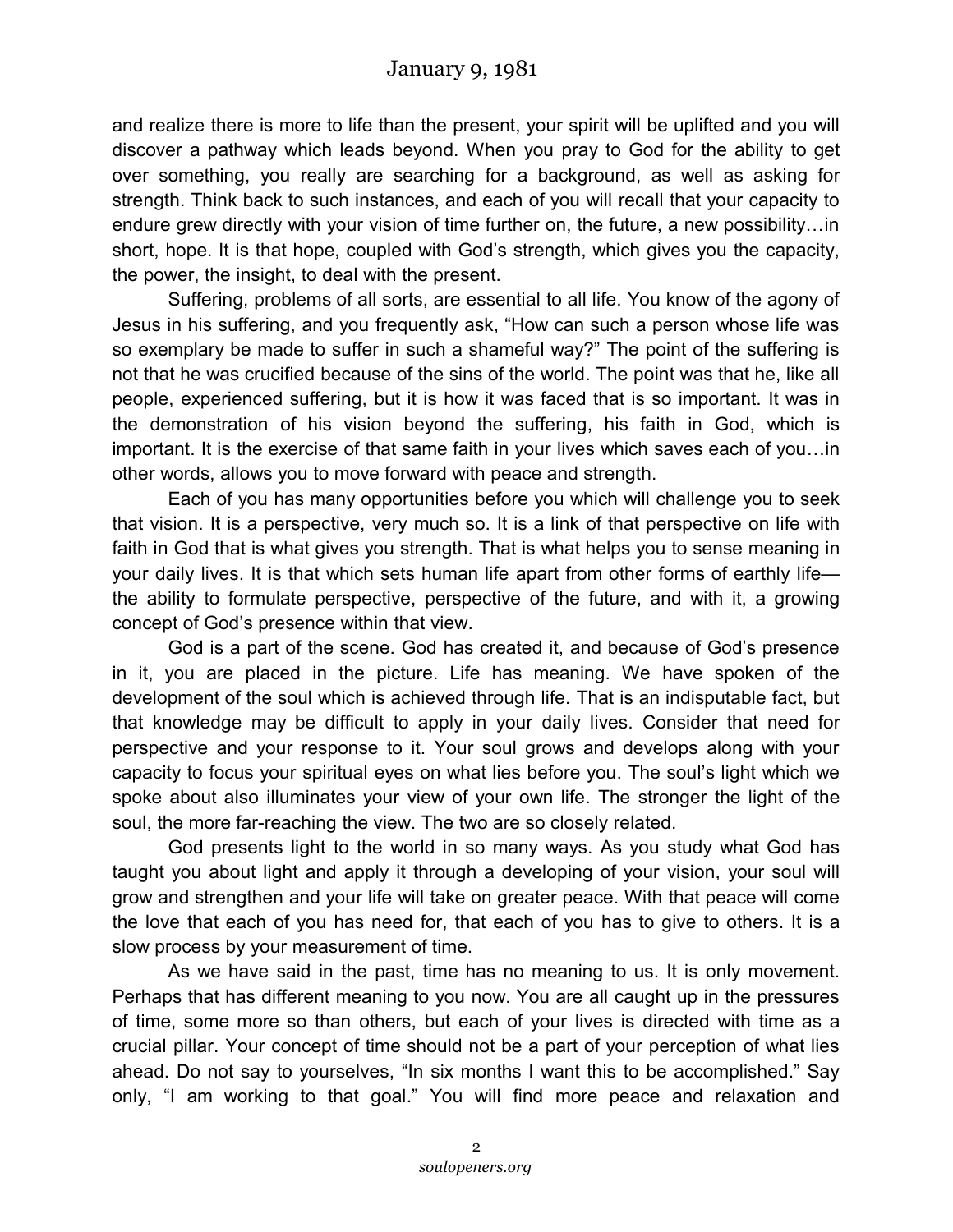and realize there is more to life than the present, your spirit will be uplifted and you will discover a pathway which leads beyond. When you pray to God for the ability to get over something, you really are searching for a background, as well as asking for strength. Think back to such instances, and each of you will recall that your capacity to endure grew directly with your vision of time further on, the future, a new possibility…in short, hope. It is that hope, coupled with God's strength, which gives you the capacity, the power, the insight, to deal with the present.

Suffering, problems of all sorts, are essential to all life. You know of the agony of Jesus in his suffering, and you frequently ask, "How can such a person whose life was so exemplary be made to suffer in such a shameful way?" The point of the suffering is not that he was crucified because of the sins of the world. The point was that he, like all people, experienced suffering, but it is how it was faced that is so important. It was in the demonstration of his vision beyond the suffering, his faith in God, which is important. It is the exercise of that same faith in your lives which saves each of you…in other words, allows you to move forward with peace and strength.

Each of you has many opportunities before you which will challenge you to seek that vision. It is a perspective, very much so. It is a link of that perspective on life with faith in God that is what gives you strength. That is what helps you to sense meaning in your daily lives. It is that which sets human life apart from other forms of earthly life the ability to formulate perspective, perspective of the future, and with it, a growing concept of God's presence within that view.

God is a part of the scene. God has created it, and because of God's presence in it, you are placed in the picture. Life has meaning. We have spoken of the development of the soul which is achieved through life. That is an indisputable fact, but that knowledge may be difficult to apply in your daily lives. Consider that need for perspective and your response to it. Your soul grows and develops along with your capacity to focus your spiritual eyes on what lies before you. The soul's light which we spoke about also illuminates your view of your own life. The stronger the light of the soul, the more far-reaching the view. The two are so closely related.

God presents light to the world in so many ways. As you study what God has taught you about light and apply it through a developing of your vision, your soul will grow and strengthen and your life will take on greater peace. With that peace will come the love that each of you has need for, that each of you has to give to others. It is a slow process by your measurement of time.

As we have said in the past, time has no meaning to us. It is only movement. Perhaps that has different meaning to you now. You are all caught up in the pressures of time, some more so than others, but each of your lives is directed with time as a crucial pillar. Your concept of time should not be a part of your perception of what lies ahead. Do not say to yourselves, "In six months I want this to be accomplished." Say only, "I am working to that goal." You will find more peace and relaxation and